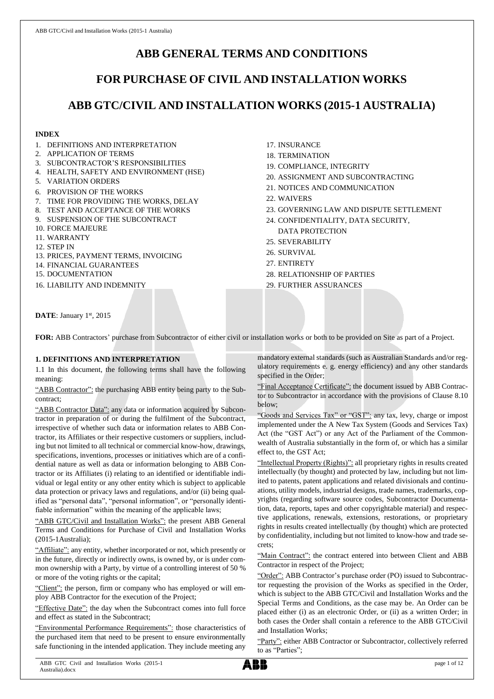# **ABB GENERAL TERMS AND CONDITIONS**

# **FOR PURCHASE OF CIVIL AND INSTALLATION WORKS**

# **ABB GTC/CIVIL AND INSTALLATION WORKS (2015-1 AUSTRALIA)**

## **INDEX**

- 1. DEFINITIONS AND INTERPRETATION
- 2. APPLICATION OF TERMS
- 3. SUBCONTRACTOR'S RESPONSIBILITIES
- 4. HEALTH, SAFETY AND ENVIRONMENT (HSE)
- 5. VARIATION ORDERS
- 6. PROVISION OF THE WORKS
- 7. TIME FOR PROVIDING THE WORKS, DELAY
- 8. TEST AND ACCEPTANCE OF THE WORKS
- 9. SUSPENSION OF THE SUBCONTRACT
- 10. FORCE MAJEURE
- 11. WARRANTY
- 12. STEP IN
- 13. PRICES, PAYMENT TERMS, INVOICING
- 14. FINANCIAL GUARANTEES
- 15. DOCUMENTATION
- 16. LIABILITY AND INDEMNITY
- 17. INSURANCE
- 18. TERMINATION
- 19. COMPLIANCE, INTEGRITY
- 20. ASSIGNMENT AND SUBCONTRACTING
- 21. NOTICES AND COMMUNICATION
- 22. WAIVERS
- 23. GOVERNING LAW AND DISPUTE SETTLEMENT
- 24. CONFIDENTIALITY, DATA SECURITY, DATA PROTECTION
- 25. SEVERABILITY
- 26. SURVIVAL
- 27. ENTIRETY
- 28. RELATIONSHIP OF PARTIES

29. FURTHER ASSURANCES

DATE: January 1st, 2015

**FOR:** ABB Contractors' purchase from Subcontractor of either civil or installation works or both to be provided on Site as part of a Project.

### **1. DEFINITIONS AND INTERPRETATION**

1.1 In this document, the following terms shall have the following meaning:

"ABB Contractor": the purchasing ABB entity being party to the Subcontract;

"ABB Contractor Data": any data or information acquired by Subcontractor in preparation of or during the fulfilment of the Subcontract, irrespective of whether such data or information relates to ABB Contractor, its Affiliates or their respective customers or suppliers, including but not limited to all technical or commercial know-how, drawings, specifications, inventions, processes or initiatives which are of a confidential nature as well as data or information belonging to ABB Contractor or its Affiliates (i) relating to an identified or identifiable individual or legal entity or any other entity which is subject to applicable data protection or privacy laws and regulations, and/or (ii) being qualified as "personal data", "personal information", or "personally identifiable information" within the meaning of the applicable laws;

"ABB GTC/Civil and Installation Works": the present ABB General Terms and Conditions for Purchase of Civil and Installation Works (2015-1Australia);

"Affiliate": any entity, whether incorporated or not, which presently or in the future, directly or indirectly owns, is owned by, or is under common ownership with a Party, by virtue of a controlling interest of 50 % or more of the voting rights or the capital;

"Client": the person, firm or company who has employed or will employ ABB Contractor for the execution of the Project;

"Effective Date": the day when the Subcontract comes into full force and effect as stated in the Subcontract;

"Environmental Performance Requirements": those characteristics of the purchased item that need to be present to ensure environmentally safe functioning in the intended application. They include meeting any mandatory external standards (such as Australian Standards and/or regulatory requirements e. g. energy efficiency) and any other standards specified in the Order;

"Final Acceptance Certificate": the document issued by ABB Contractor to Subcontractor in accordance with the provisions of Clause 8.10 below;

"Goods and Services Tax" or "GST": any tax, levy, charge or impost implemented under the A New Tax System (Goods and Services Tax) Act (the "GST Act") or any Act of the Parliament of the Commonwealth of Australia substantially in the form of, or which has a similar effect to, the GST Act;

"Intellectual Property (Rights)": all proprietary rights in results created intellectually (by thought) and protected by law, including but not limited to patents, patent applications and related divisionals and continuations, utility models, industrial designs, trade names, trademarks, copyrights (regarding software source codes, Subcontractor Documentation, data, reports, tapes and other copyrightable material) and respective applications, renewals, extensions, restorations, or proprietary rights in results created intellectually (by thought) which are protected by confidentiality, including but not limited to know-how and trade secrets;

"Main Contract": the contract entered into between Client and ABB Contractor in respect of the Project;

"Order": ABB Contractor's purchase order (PO) issued to Subcontractor requesting the provision of the Works as specified in the Order, which is subject to the ABB GTC/Civil and Installation Works and the Special Terms and Conditions, as the case may be. An Order can be placed either (i) as an electronic Order, or (ii) as a written Order; in both cases the Order shall contain a reference to the ABB GTC/Civil and Installation Works;

"Party": either ABB Contractor or Subcontractor, collectively referred to as "Parties";

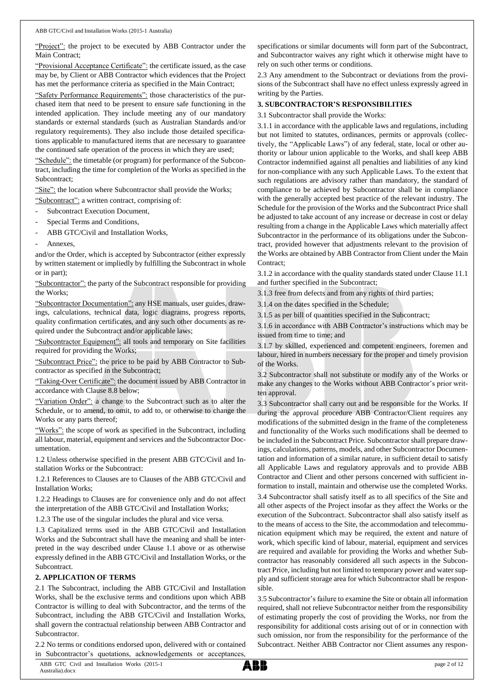"Project": the project to be executed by ABB Contractor under the Main Contract;

"Provisional Acceptance Certificate": the certificate issued, as the case may be, by Client or ABB Contractor which evidences that the Project has met the performance criteria as specified in the Main Contract;

"Safety Performance Requirements": those characteristics of the purchased item that need to be present to ensure safe functioning in the intended application. They include meeting any of our mandatory standards or external standards (such as Australian Standards and/or regulatory requirements). They also include those detailed specifications applicable to manufactured items that are necessary to guarantee the continued safe operation of the process in which they are used;

"Schedule": the timetable (or program) for performance of the Subcontract, including the time for completion of the Works as specified in the Subcontract;

"Site": the location where Subcontractor shall provide the Works;

- "Subcontract": a written contract, comprising of:
- Subcontract Execution Document,
- Special Terms and Conditions,
- ABB GTC/Civil and Installation Works,
- Annexes.

and/or the Order, which is accepted by Subcontractor (either expressly by written statement or impliedly by fulfilling the Subcontract in whole or in part);

"Subcontractor": the party of the Subcontract responsible for providing the Works;

"Subcontractor Documentation": any HSE manuals, user guides, drawings, calculations, technical data, logic diagrams, progress reports, quality confirmation certificates, and any such other documents as required under the Subcontract and/or applicable laws;

"Subcontractor Equipment": all tools and temporary on Site facilities required for providing the Works;

"Subcontract Price": the price to be paid by ABB Contractor to Subcontractor as specified in the Subcontract;

"Taking-Over Certificate": the document issued by ABB Contractor in accordance with Clause 8.8 below;

"Variation Order": a change to the Subcontract such as to alter the Schedule, or to amend, to omit, to add to, or otherwise to change the Works or any parts thereof;

"Works": the scope of work as specified in the Subcontract, including all labour, material, equipment and services and the Subcontractor Documentation.

1.2 Unless otherwise specified in the present ABB GTC/Civil and Installation Works or the Subcontract:

1.2.1 References to Clauses are to Clauses of the ABB GTC/Civil and Installation Works;

1.2.2 Headings to Clauses are for convenience only and do not affect the interpretation of the ABB GTC/Civil and Installation Works;

1.2.3 The use of the singular includes the plural and vice versa.

1.3 Capitalized terms used in the ABB GTC/Civil and Installation Works and the Subcontract shall have the meaning and shall be interpreted in the way described under Clause 1.1 above or as otherwise expressly defined in the ABB GTC/Civil and Installation Works, or the Subcontract.

## **2. APPLICATION OF TERMS**

2.1 The Subcontract, including the ABB GTC/Civil and Installation Works, shall be the exclusive terms and conditions upon which ABB Contractor is willing to deal with Subcontractor, and the terms of the Subcontract, including the ABB GTC/Civil and Installation Works, shall govern the contractual relationship between ABB Contractor and Subcontractor.

2.2 No terms or conditions endorsed upon, delivered with or contained in Subcontractor's quotations, acknowledgements or acceptances

specifications or similar documents will form part of the Subcontract, and Subcontractor waives any right which it otherwise might have to rely on such other terms or conditions.

2.3 Any amendment to the Subcontract or deviations from the provisions of the Subcontract shall have no effect unless expressly agreed in writing by the Parties.

### **3. SUBCONTRACTOR'S RESPONSIBILITIES**

3.1 Subcontractor shall provide the Works:

3.1.1 in accordance with the applicable laws and regulations, including but not limited to statutes, ordinances, permits or approvals (collectively, the "Applicable Laws") of any federal, state, local or other authority or labour union applicable to the Works, and shall keep ABB Contractor indemnified against all penalties and liabilities of any kind for non-compliance with any such Applicable Laws. To the extent that such regulations are advisory rather than mandatory, the standard of compliance to be achieved by Subcontractor shall be in compliance with the generally accepted best practice of the relevant industry. The Schedule for the provision of the Works and the Subcontract Price shall be adjusted to take account of any increase or decrease in cost or delay resulting from a change in the Applicable Laws which materially affect Subcontractor in the performance of its obligations under the Subcontract, provided however that adjustments relevant to the provision of the Works are obtained by ABB Contractor from Client under the Main Contract;

3.1.2 in accordance with the quality standards stated under Clause 11.1 and further specified in the Subcontract;

3.1.3 free from defects and from any rights of third parties;

3.1.4 on the dates specified in the Schedule;

3.1.5 as per bill of quantities specified in the Subcontract;

3.1.6 in accordance with ABB Contractor's instructions which may be issued from time to time; and

3.1.7 by skilled, experienced and competent engineers, foremen and labour, hired in numbers necessary for the proper and timely provision of the Works.

3.2 Subcontractor shall not substitute or modify any of the Works or make any changes to the Works without ABB Contractor's prior written approval.

3.3 Subcontractor shall carry out and be responsible for the Works. If during the approval procedure ABB Contractor/Client requires any modifications of the submitted design in the frame of the completeness and functionality of the Works such modifications shall be deemed to be included in the Subcontract Price. Subcontractor shall prepare drawings, calculations, patterns, models, and other Subcontractor Documentation and information of a similar nature, in sufficient detail to satisfy all Applicable Laws and regulatory approvals and to provide ABB Contractor and Client and other persons concerned with sufficient information to install, maintain and otherwise use the completed Works. 3.4 Subcontractor shall satisfy itself as to all specifics of the Site and all other aspects of the Project insofar as they affect the Works or the execution of the Subcontract. Subcontractor shall also satisfy itself as to the means of access to the Site, the accommodation and telecommunication equipment which may be required, the extent and nature of work, which specific kind of labour, material, equipment and services are required and available for providing the Works and whether Subcontractor has reasonably considered all such aspects in the Subcontract Price, including but not limited to temporary power and water supply and sufficient storage area for which Subcontractor shall be responsible.

3.5 Subcontractor's failure to examine the Site or obtain all information required, shall not relieve Subcontractor neither from the responsibility of estimating properly the cost of providing the Works, nor from the responsibility for additional costs arising out of or in connection with such omission, nor from the responsibility for the performance of the Subcontract. Neither ABB Contractor nor Client assumes any respon-

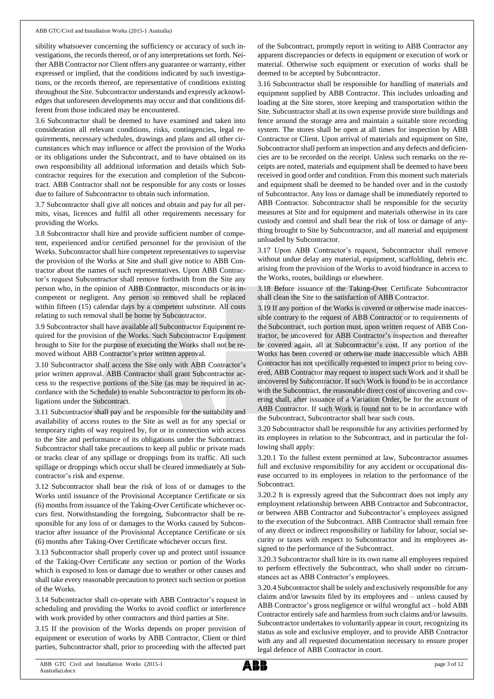#### ABB GTC/Civil and Installation Works (2015-1 Australia)

sibility whatsoever concerning the sufficiency or accuracy of such investigations, the records thereof, or of any interpretations set forth. Neither ABB Contractor nor Client offers any guarantee or warranty, either expressed or implied, that the conditions indicated by such investigations, or the records thereof, are representative of conditions existing throughout the Site. Subcontractor understands and expressly acknowledges that unforeseen developments may occur and that conditions different from those indicated may be encountered.

3.6 Subcontractor shall be deemed to have examined and taken into consideration all relevant conditions, risks, contingencies, legal requirements, necessary schedules, drawings and plans and all other circumstances which may influence or affect the provision of the Works or its obligations under the Subcontract, and to have obtained on its own responsibility all additional information and details which Subcontractor requires for the execution and completion of the Subcontract. ABB Contractor shall not be responsible for any costs or losses due to failure of Subcontractor to obtain such information.

3.7 Subcontractor shall give all notices and obtain and pay for all permits, visas, licences and fulfil all other requirements necessary for providing the Works.

3.8 Subcontractor shall hire and provide sufficient number of competent, experienced and/or certified personnel for the provision of the Works. Subcontractor shall hire competent representatives to supervise the provision of the Works at Site and shall give notice to ABB Contractor about the names of such representatives. Upon ABB Contractor's request Subcontractor shall remove forthwith from the Site any person who, in the opinion of ABB Contractor, misconducts or is incompetent or negligent. Any person so removed shall be replaced within fifteen (15) calendar days by a competent substitute. All costs relating to such removal shall be borne by Subcontractor.

3.9 Subcontractor shall have available all Subcontractor Equipment required for the provision of the Works. Such Subcontractor Equipment brought to Site for the purpose of executing the Works shall not be removed without ABB Contractor's prior written approval.

3.10 Subcontractor shall access the Site only with ABB Contractor's prior written approval. ABB Contractor shall grant Subcontractor access to the respective portions of the Site (as may be required in accordance with the Schedule) to enable Subcontractor to perform its obligations under the Subcontract.

3.11 Subcontractor shall pay and be responsible for the suitability and availability of access routes to the Site as well as for any special or temporary rights of way required by, for or in connection with access to the Site and performance of its obligations under the Subcontract. Subcontractor shall take precautions to keep all public or private roads or tracks clear of any spillage or droppings from its traffic. All such spillage or droppings which occur shall be cleared immediately at Subcontractor's risk and expense.

3.12 Subcontractor shall bear the risk of loss of or damages to the Works until issuance of the Provisional Acceptance Certificate or six (6) months from issuance of the Taking-Over Certificate whichever occurs first. Notwithstanding the foregoing, Subcontractor shall be responsible for any loss of or damages to the Works caused by Subcontractor after issuance of the Provisional Acceptance Certificate or six (6) months after Taking-Over Certificate whichever occurs first.

3.13 Subcontractor shall properly cover up and protect until issuance of the Taking-Over Certificate any section or portion of the Works which is exposed to loss or damage due to weather or other causes and shall take every reasonable precaution to protect such section or portion of the Works.

3.14 Subcontractor shall co-operate with ABB Contractor's request in scheduling and providing the Works to avoid conflict or interference with work provided by other contractors and third parties at Site.

3.15 If the provision of the Works depends on proper provision of equipment or execution of works by ABB Contractor, Client or third parties, Subcontractor shall, prior to proceeding with the affected part of the Subcontract, promptly report in writing to ABB Contractor any apparent discrepancies or defects in equipment or execution of work or material. Otherwise such equipment or execution of works shall be deemed to be accepted by Subcontractor.

3.16 Subcontractor shall be responsible for handling of materials and equipment supplied by ABB Contractor. This includes unloading and loading at the Site stores, store keeping and transportation within the Site. Subcontractor shall at its own expense provide store buildings and fence around the storage area and maintain a suitable store recording system. The stores shall be open at all times for inspection by ABB Contractor or Client. Upon arrival of materials and equipment on Site, Subcontractor shall perform an inspection and any defects and deficiencies are to be recorded on the receipt. Unless such remarks on the receipts are noted, materials and equipment shall be deemed to have been received in good order and condition. From this moment such materials and equipment shall be deemed to be handed over and in the custody of Subcontractor. Any loss or damage shall be immediately reported to ABB Contractor. Subcontractor shall be responsible for the security measures at Site and for equipment and materials otherwise in its care custody and control and shall bear the risk of loss or damage of anything brought to Site by Subcontractor, and all material and equipment unloaded by Subcontractor.

3.17 Upon ABB Contractor's request, Subcontractor shall remove without undue delay any material, equipment, scaffolding, debris etc. arising from the provision of the Works to avoid hindrance in access to the Works, routes, buildings or elsewhere.

3.18 Before issuance of the Taking-Over Certificate Subcontractor shall clean the Site to the satisfaction of ABB Contractor.

3.19 If any portion of the Works is covered or otherwise made inaccessible contrary to the request of ABB Contractor or to requirements of the Subcontract, such portion must, upon written request of ABB Contractor, be uncovered for ABB Contractor's inspection and thereafter be covered again, all at Subcontractor's cost. If any portion of the Works has been covered or otherwise made inaccessible which ABB Contractor has not specifically requested to inspect prior to being covered, ABB Contractor may request to inspect such Work and it shall be uncovered by Subcontractor. If such Work is found to be in accordance with the Subcontract, the reasonable direct cost of uncovering and covering shall, after issuance of a Variation Order, be for the account of ABB Contractor. If such Work is found not to be in accordance with the Subcontract, Subcontractor shall bear such costs.

3.20 Subcontractor shall be responsible for any activities performed by its employees in relation to the Subcontract, and in particular the following shall apply:

3.20.1 To the fullest extent permitted at law, Subcontractor assumes full and exclusive responsibility for any accident or occupational disease occurred to its employees in relation to the performance of the Subcontract.

3.20.2 It is expressly agreed that the Subcontract does not imply any employment relationship between ABB Contractor and Subcontractor, or between ABB Contractor and Subcontractor's employees assigned to the execution of the Subcontract. ABB Contractor shall remain free of any direct or indirect responsibility or liability for labour, social security or taxes with respect to Subcontractor and its employees assigned to the performance of the Subcontract.

3.20.3 Subcontractor shall hire in its own name all employees required to perform effectively the Subcontract, who shall under no circumstances act as ABB Contractor's employees.

3.20.4 Subcontractorshall be solely and exclusively responsible for any claims and/or lawsuits filed by its employees and – unless caused by ABB Contractor's gross negligence or wilful wrongful act – hold ABB Contractor entirely safe and harmless from such claims and/or lawsuits. Subcontractor undertakes to voluntarily appear in court, recognizing its status as sole and exclusive employer, and to provide ABB Contractor with any and all requested documentation necessary to ensure proper legal defence of ABB Contractor in court.

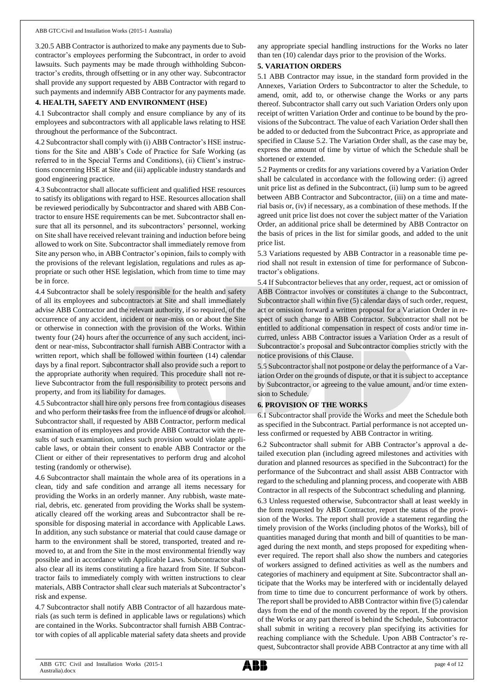3.20.5 ABB Contractor is authorized to make any payments due to Subcontractor's employees performing the Subcontract, in order to avoid lawsuits. Such payments may be made through withholding Subcontractor's credits, through offsetting or in any other way. Subcontractor shall provide any support requested by ABB Contractor with regard to such payments and indemnify ABB Contractor for any payments made.

### **4. HEALTH, SAFETY AND ENVIRONMENT (HSE)**

4.1 Subcontractor shall comply and ensure compliance by any of its employees and subcontractors with all applicable laws relating to HSE throughout the performance of the Subcontract.

4.2 Subcontractor shall comply with (i) ABB Contractor's HSE instructions for the Site and ABB's Code of Practice for Safe Working (as referred to in the Special Terms and Conditions), (ii) Client's instructions concerning HSE at Site and (iii) applicable industry standards and good engineering practice.

4.3 Subcontractor shall allocate sufficient and qualified HSE resources to satisfy its obligations with regard to HSE. Resources allocation shall be reviewed periodically by Subcontractor and shared with ABB Contractor to ensure HSE requirements can be met. Subcontractor shall ensure that all its personnel, and its subcontractors' personnel, working on Site shall have received relevant training and induction before being allowed to work on Site. Subcontractor shall immediately remove from Site any person who, in ABB Contractor's opinion, fails to comply with the provisions of the relevant legislation, regulations and rules as appropriate or such other HSE legislation, which from time to time may be in force.

4.4 Subcontractor shall be solely responsible for the health and safety of all its employees and subcontractors at Site and shall immediately advise ABB Contractor and the relevant authority, if so required, of the occurrence of any accident, incident or near-miss on or about the Site or otherwise in connection with the provision of the Works. Within twenty four (24) hours after the occurrence of any such accident, incident or near-miss, Subcontractor shall furnish ABB Contractor with a written report, which shall be followed within fourteen (14) calendar days by a final report. Subcontractor shall also provide such a report to the appropriate authority when required. This procedure shall not relieve Subcontractor from the full responsibility to protect persons and property, and from its liability for damages.

4.5 Subcontractor shall hire only persons free from contagious diseases and who perform their tasks free from the influence of drugs or alcohol. Subcontractor shall, if requested by ABB Contractor, perform medical examination of its employees and provide ABB Contractor with the results of such examination, unless such provision would violate applicable laws, or obtain their consent to enable ABB Contractor or the Client or either of their representatives to perform drug and alcohol testing (randomly or otherwise).

4.6 Subcontractor shall maintain the whole area of its operations in a clean, tidy and safe condition and arrange all items necessary for providing the Works in an orderly manner. Any rubbish, waste material, debris, etc. generated from providing the Works shall be systematically cleared off the working areas and Subcontractor shall be responsible for disposing material in accordance with Applicable Laws. In addition, any such substance or material that could cause damage or harm to the environment shall be stored, transported, treated and removed to, at and from the Site in the most environmental friendly way possible and in accordance with Applicable Laws. Subcontractor shall also clear all its items constituting a fire hazard from Site. If Subcontractor fails to immediately comply with written instructions to clear materials, ABB Contractor shall clear such materials at Subcontractor's risk and expense.

4.7 Subcontractor shall notify ABB Contractor of all hazardous materials (as such term is defined in applicable laws or regulations) which are contained in the Works. Subcontractor shall furnish ABB Contractor with copies of all applicable material safety data sheets and provide any appropriate special handling instructions for the Works no later than ten (10) calendar days prior to the provision of the Works.

# **5. VARIATION ORDERS**

5.1 ABB Contractor may issue, in the standard form provided in the Annexes, Variation Orders to Subcontractor to alter the Schedule, to amend, omit, add to, or otherwise change the Works or any parts thereof. Subcontractor shall carry out such Variation Orders only upon receipt of written Variation Order and continue to be bound by the provisions of the Subcontract. The value of each Variation Order shall then be added to or deducted from the Subcontract Price, as appropriate and specified in Clause 5.2. The Variation Order shall, as the case may be, express the amount of time by virtue of which the Schedule shall be shortened or extended.

5.2 Payments or credits for any variations covered by a Variation Order shall be calculated in accordance with the following order: (i) agreed unit price list as defined in the Subcontract, (ii) lump sum to be agreed between ABB Contractor and Subcontractor, (iii) on a time and material basis or, (iv) if necessary, as a combination of these methods. If the agreed unit price list does not cover the subject matter of the Variation Order, an additional price shall be determined by ABB Contractor on the basis of prices in the list for similar goods, and added to the unit price list.

5.3 Variations requested by ABB Contractor in a reasonable time period shall not result in extension of time for performance of Subcontractor's obligations.

5.4 If Subcontractor believes that any order, request, act or omission of ABB Contractor involves or constitutes a change to the Subcontract, Subcontractor shall within five (5) calendar days of such order, request, act or omission forward a written proposal for a Variation Order in respect of such change to ABB Contractor. Subcontractor shall not be entitled to additional compensation in respect of costs and/or time incurred, unless ABB Contractor issues a Variation Order as a result of Subcontractor's proposal and Subcontractor complies strictly with the notice provisions of this Clause.

5.5 Subcontractor shall not postpone or delay the performance of a Variation Order on the grounds of dispute, or that it is subject to acceptance by Subcontractor, or agreeing to the value amount, and/or time extension to Schedule.

### **6. PROVISION OF THE WORKS**

6.1 Subcontractor shall provide the Works and meet the Schedule both as specified in the Subcontract. Partial performance is not accepted unless confirmed or requested by ABB Contractor in writing.

6.2 Subcontractor shall submit for ABB Contractor's approval a detailed execution plan (including agreed milestones and activities with duration and planned resources as specified in the Subcontract) for the performance of the Subcontract and shall assist ABB Contractor with regard to the scheduling and planning process, and cooperate with ABB Contractor in all respects of the Subcontract scheduling and planning.

6.3 Unless requested otherwise, Subcontractor shall at least weekly in the form requested by ABB Contractor, report the status of the provision of the Works. The report shall provide a statement regarding the timely provision of the Works (including photos of the Works), bill of quantities managed during that month and bill of quantities to be managed during the next month, and steps proposed for expediting whenever required. The report shall also show the numbers and categories of workers assigned to defined activities as well as the numbers and categories of machinery and equipment at Site. Subcontractor shall anticipate that the Works may be interfered with or incidentally delayed from time to time due to concurrent performance of work by others. The report shall be provided to ABB Contractor within five (5) calendar days from the end of the month covered by the report. If the provision of the Works or any part thereof is behind the Schedule, Subcontractor shall submit in writing a recovery plan specifying its activities for reaching compliance with the Schedule. Upon ABB Contractor's request, Subcontractor shall provide ABB Contractor at any time with all

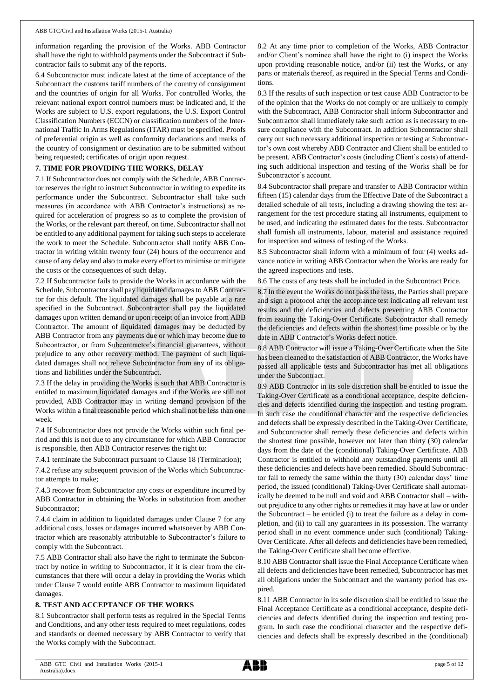information regarding the provision of the Works. ABB Contractor shall have the right to withhold payments under the Subcontract if Subcontractor fails to submit any of the reports.

6.4 Subcontractor must indicate latest at the time of acceptance of the Subcontract the customs tariff numbers of the country of consignment and the countries of origin for all Works. For controlled Works, the relevant national export control numbers must be indicated and, if the Works are subject to U.S. export regulations, the U.S. Export Control Classification Numbers (ECCN) or classification numbers of the International Traffic In Arms Regulations (ITAR) must be specified. Proofs of preferential origin as well as conformity declarations and marks of the country of consignment or destination are to be submitted without being requested; certificates of origin upon request.

### **7. TIME FOR PROVIDING THE WORKS, DELAY**

7.1 If Subcontractor does not comply with the Schedule, ABB Contractor reserves the right to instruct Subcontractor in writing to expedite its performance under the Subcontract. Subcontractor shall take such measures (in accordance with ABB Contractor's instructions) as required for acceleration of progress so as to complete the provision of the Works, or the relevant part thereof, on time. Subcontractor shall not be entitled to any additional payment for taking such steps to accelerate the work to meet the Schedule. Subcontractor shall notify ABB Contractor in writing within twenty four (24) hours of the occurrence and cause of any delay and also to make every effort to minimise or mitigate the costs or the consequences of such delay.

7.2 If Subcontractor fails to provide the Works in accordance with the Schedule, Subcontractor shall pay liquidated damages to ABB Contractor for this default. The liquidated damages shall be payable at a rate specified in the Subcontract. Subcontractor shall pay the liquidated damages upon written demand or upon receipt of an invoice from ABB Contractor. The amount of liquidated damages may be deducted by ABB Contractor from any payments due or which may become due to Subcontractor, or from Subcontractor's financial guarantees, without prejudice to any other recovery method. The payment of such liquidated damages shall not relieve Subcontractor from any of its obligations and liabilities under the Subcontract.

7.3 If the delay in providing the Works is such that ABB Contractor is entitled to maximum liquidated damages and if the Works are still not provided, ABB Contractor may in writing demand provision of the Works within a final reasonable period which shall not be less than one week.

7.4 If Subcontractor does not provide the Works within such final period and this is not due to any circumstance for which ABB Contractor is responsible, then ABB Contractor reserves the right to:

7.4.1 terminate the Subcontract pursuant to Clause 18 (Termination);

7.4.2 refuse any subsequent provision of the Works which Subcontractor attempts to make;

7.4.3 recover from Subcontractor any costs or expenditure incurred by ABB Contractor in obtaining the Works in substitution from another Subcontractor;

7.4.4 claim in addition to liquidated damages under Clause 7 for any additional costs, losses or damages incurred whatsoever by ABB Contractor which are reasonably attributable to Subcontractor's failure to comply with the Subcontract.

7.5 ABB Contractor shall also have the right to terminate the Subcontract by notice in writing to Subcontractor, if it is clear from the circumstances that there will occur a delay in providing the Works which under Clause 7 would entitle ABB Contractor to maximum liquidated damages.

### **8. TEST AND ACCEPTANCE OF THE WORKS**

8.1 Subcontractor shall perform tests as required in the Special Terms and Conditions, and any other tests required to meet regulations, codes and standards or deemed necessary by ABB Contractor to verify that the Works comply with the Subcontract.

8.2 At any time prior to completion of the Works, ABB Contractor and/or Client's nominee shall have the right to (i) inspect the Works upon providing reasonable notice, and/or (ii) test the Works, or any parts or materials thereof, as required in the Special Terms and Conditions.

8.3 If the results of such inspection or test cause ABB Contractor to be of the opinion that the Works do not comply or are unlikely to comply with the Subcontract, ABB Contractor shall inform Subcontractor and Subcontractor shall immediately take such action as is necessary to ensure compliance with the Subcontract. In addition Subcontractor shall carry out such necessary additional inspection or testing at Subcontractor's own cost whereby ABB Contractor and Client shall be entitled to be present. ABB Contractor's costs (including Client's costs) of attending such additional inspection and testing of the Works shall be for Subcontractor's account.

8.4 Subcontractor shall prepare and transfer to ABB Contractor within fifteen (15) calendar days from the Effective Date of the Subcontract a detailed schedule of all tests, including a drawing showing the test arrangement for the test procedure stating all instruments, equipment to be used, and indicating the estimated dates for the tests. Subcontractor shall furnish all instruments, labour, material and assistance required for inspection and witness of testing of the Works.

8.5 Subcontractor shall inform with a minimum of four (4) weeks advance notice in writing ABB Contractor when the Works are ready for the agreed inspections and tests.

8.6 The costs of any tests shall be included in the Subcontract Price.

8.7 In the event the Works do not pass the tests, the Parties shall prepare and sign a protocol after the acceptance test indicating all relevant test results and the deficiencies and defects preventing ABB Contractor from issuing the Taking-Over Certificate. Subcontractor shall remedy the deficiencies and defects within the shortest time possible or by the date in ABB Contractor's Works defect notice.

8.8 ABB Contractor will issue a Taking-Over Certificate when the Site has been cleaned to the satisfaction of ABB Contractor, the Works have passed all applicable tests and Subcontractor has met all obligations under the Subcontract.

8.9 ABB Contractor in its sole discretion shall be entitled to issue the Taking-Over Certificate as a conditional acceptance, despite deficiencies and defects identified during the inspection and testing program. In such case the conditional character and the respective deficiencies and defects shall be expressly described in the Taking-Over Certificate, and Subcontractor shall remedy these deficiencies and defects within the shortest time possible, however not later than thirty (30) calendar days from the date of the (conditional) Taking-Over Certificate. ABB Contractor is entitled to withhold any outstanding payments until all these deficiencies and defects have been remedied. Should Subcontractor fail to remedy the same within the thirty (30) calendar days' time period, the issued (conditional) Taking-Over Certificate shall automatically be deemed to be null and void and ABB Contractor shall – without prejudice to any other rights or remedies it may have at law or under the Subcontract – be entitled (i) to treat the failure as a delay in completion, and (ii) to call any guarantees in its possession. The warranty period shall in no event commence under such (conditional) Taking-Over Certificate. After all defects and deficiencies have been remedied, the Taking-Over Certificate shall become effective.

8.10 ABB Contractor shall issue the Final Acceptance Certificate when all defects and deficiencies have been remedied, Subcontractor has met all obligations under the Subcontract and the warranty period has expired.

8.11 ABB Contractor in its sole discretion shall be entitled to issue the Final Acceptance Certificate as a conditional acceptance, despite deficiencies and defects identified during the inspection and testing program. In such case the conditional character and the respective deficiencies and defects shall be expressly described in the (conditional)

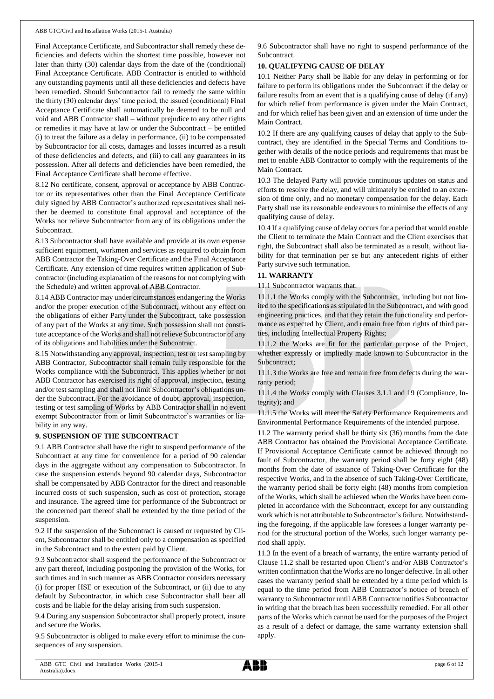Final Acceptance Certificate, and Subcontractor shall remedy these deficiencies and defects within the shortest time possible, however not later than thirty (30) calendar days from the date of the (conditional) Final Acceptance Certificate. ABB Contractor is entitled to withhold any outstanding payments until all these deficiencies and defects have been remedied. Should Subcontractor fail to remedy the same within the thirty (30) calendar days' time period, the issued (conditional) Final Acceptance Certificate shall automatically be deemed to be null and void and ABB Contractor shall – without prejudice to any other rights or remedies it may have at law or under the Subcontract – be entitled (i) to treat the failure as a delay in performance, (ii) to be compensated by Subcontractor for all costs, damages and losses incurred as a result of these deficiencies and defects, and (iii) to call any guarantees in its possession. After all defects and deficiencies have been remedied, the Final Acceptance Certificate shall become effective.

8.12 No certificate, consent, approval or acceptance by ABB Contractor or its representatives other than the Final Acceptance Certificate duly signed by ABB Contractor's authorized representatives shall neither be deemed to constitute final approval and acceptance of the Works nor relieve Subcontractor from any of its obligations under the Subcontract.

8.13 Subcontractor shall have available and provide at its own expense sufficient equipment, workmen and services as required to obtain from ABB Contractor the Taking-Over Certificate and the Final Acceptance Certificate. Any extension of time requires written application of Subcontractor (including explanation of the reasons for not complying with the Schedule) and written approval of ABB Contractor.

8.14 ABB Contractor may under circumstances endangering the Works and/or the proper execution of the Subcontract, without any effect on the obligations of either Party under the Subcontract, take possession of any part of the Works at any time. Such possession shall not constitute acceptance of the Works and shall not relieve Subcontractor of any of its obligations and liabilities under the Subcontract.

8.15 Notwithstanding any approval, inspection, test or test sampling by ABB Contractor, Subcontractor shall remain fully responsible for the Works compliance with the Subcontract. This applies whether or not ABB Contractor has exercised its right of approval, inspection, testing and/or test sampling and shall not limit Subcontractor's obligations under the Subcontract. For the avoidance of doubt, approval, inspection, testing or test sampling of Works by ABB Contractor shall in no event exempt Subcontractor from or limit Subcontractor's warranties or liability in any way.

#### **9. SUSPENSION OF THE SUBCONTRACT**

9.1 ABB Contractor shall have the right to suspend performance of the Subcontract at any time for convenience for a period of 90 calendar days in the aggregate without any compensation to Subcontractor. In case the suspension extends beyond 90 calendar days, Subcontractor shall be compensated by ABB Contractor for the direct and reasonable incurred costs of such suspension, such as cost of protection, storage and insurance. The agreed time for performance of the Subcontract or the concerned part thereof shall be extended by the time period of the suspension.

9.2 If the suspension of the Subcontract is caused or requested by Client, Subcontractor shall be entitled only to a compensation as specified in the Subcontract and to the extent paid by Client.

9.3 Subcontractor shall suspend the performance of the Subcontract or any part thereof, including postponing the provision of the Works, for such times and in such manner as ABB Contractor considers necessary (i) for proper HSE or execution of the Subcontract, or (ii) due to any default by Subcontractor, in which case Subcontractor shall bear all costs and be liable for the delay arising from such suspension.

9.4 During any suspension Subcontractor shall properly protect, insure and secure the Works.

9.5 Subcontractor is obliged to make every effort to minimise the consequences of any suspension.

9.6 Subcontractor shall have no right to suspend performance of the Subcontract.

### **10. QUALIFYING CAUSE OF DELAY**

10.1 Neither Party shall be liable for any delay in performing or for failure to perform its obligations under the Subcontract if the delay or failure results from an event that is a qualifying cause of delay (if any) for which relief from performance is given under the Main Contract, and for which relief has been given and an extension of time under the Main Contract.

10.2 If there are any qualifying causes of delay that apply to the Subcontract, they are identified in the Special Terms and Conditions together with details of the notice periods and requirements that must be met to enable ABB Contractor to comply with the requirements of the Main Contract.

10.3 The delayed Party will provide continuous updates on status and efforts to resolve the delay, and will ultimately be entitled to an extension of time only, and no monetary compensation for the delay. Each Party shall use its reasonable endeavours to minimise the effects of any qualifying cause of delay.

10.4 If a qualifying cause of delay occurs for a period that would enable the Client to terminate the Main Contract and the Client exercises that right, the Subcontract shall also be terminated as a result, without liability for that termination per se but any antecedent rights of either Party survive such termination.

### **11. WARRANTY**

11.1 Subcontractor warrants that:

11.1.1 the Works comply with the Subcontract, including but not limited to the specifications as stipulated in the Subcontract, and with good engineering practices, and that they retain the functionality and performance as expected by Client, and remain free from rights of third parties, including Intellectual Property Rights;

11.1.2 the Works are fit for the particular purpose of the Project, whether expressly or impliedly made known to Subcontractor in the Subcontract;

11.1.3 the Works are free and remain free from defects during the warranty period;

11.1.4 the Works comply with Clauses 3.1.1 and 19 (Compliance, Integrity); and

11.1.5 the Works will meet the Safety Performance Requirements and Environmental Performance Requirements of the intended purpose.

11.2 The warranty period shall be thirty six (36) months from the date ABB Contractor has obtained the Provisional Acceptance Certificate. If Provisional Acceptance Certificate cannot be achieved through no fault of Subcontractor, the warranty period shall be forty eight (48) months from the date of issuance of Taking-Over Certificate for the respective Works, and in the absence of such Taking-Over Certificate, the warranty period shall be forty eight (48) months from completion of the Works, which shall be achieved when the Works have been completed in accordance with the Subcontract, except for any outstanding work which is not attributable to Subcontractor's failure. Notwithstanding the foregoing, if the applicable law foresees a longer warranty period for the structural portion of the Works, such longer warranty period shall apply.

11.3 In the event of a breach of warranty, the entire warranty period of Clause 11.2 shall be restarted upon Client's and/or ABB Contractor's written confirmation that the Works are no longer defective. In all other cases the warranty period shall be extended by a time period which is equal to the time period from ABB Contractor's notice of breach of warranty to Subcontractor until ABB Contractor notifies Subcontractor in writing that the breach has been successfully remedied. For all other parts of the Works which cannot be used for the purposes of the Project as a result of a defect or damage, the same warranty extension shall apply.

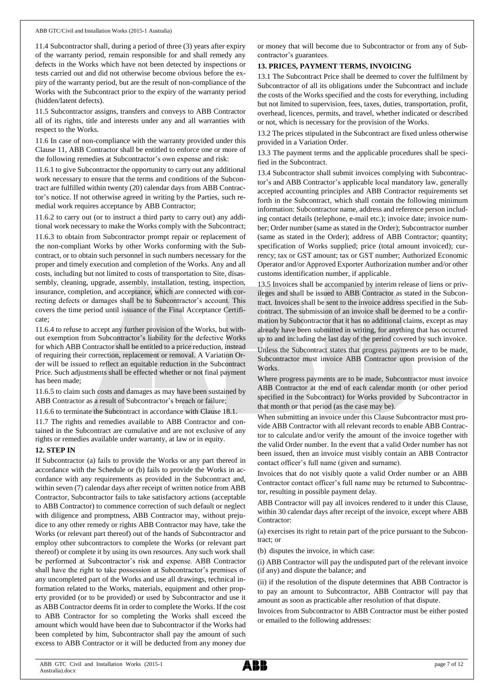11.4 Subcontractor shall, during a period of three (3) years after expiry of the warranty period, remain responsible for and shall remedy any defects in the Works which have not been detected by inspections or tests carried out and did not otherwise become obvious before the expiry of the warranty period, but are the result of non-compliance of the Works with the Subcontract prior to the expiry of the warranty period (hidden/latent defects).

11.5 Subcontractor assigns, transfers and conveys to ABB Contractor all of its rights, title and interests under any and all warranties with respect to the Works.

11.6 In case of non-compliance with the warranty provided under this Clause 11, ABB Contractor shall be entitled to enforce one or more of the following remedies at Subcontractor's own expense and risk:

11.6.1 to give Subcontractor the opportunity to carry out any additional work necessary to ensure that the terms and conditions of the Subcontract are fulfilled within twenty (20) calendar days from ABB Contractor's notice. If not otherwise agreed in writing by the Parties, such remedial work requires acceptance by ABB Contractor;

11.6.2 to carry out (or to instruct a third party to carry out) any additional work necessary to make the Works comply with the Subcontract;

11.6.3 to obtain from Subcontractor prompt repair or replacement of the non-compliant Works by other Works conforming with the Subcontract, or to obtain such personnel in such numbers necessary for the proper and timely execution and completion of the Works. Any and all costs, including but not limited to costs of transportation to Site, disassembly, cleaning, upgrade, assembly, installation, testing, inspection, insurance, completion, and acceptance, which are connected with correcting defects or damages shall be to Subcontractor's account. This covers the time period until issuance of the Final Acceptance Certificate;

11.6.4 to refuse to accept any further provision of the Works, but without exemption from Subcontractor's liability for the defective Works for which ABB Contractor shall be entitled to a price reduction, instead of requiring their correction, replacement or removal. A Variation Order will be issued to reflect an equitable reduction in the Subcontract Price. Such adjustments shall be effected whether or not final payment has been made;

11.6.5 to claim such costs and damages as may have been sustained by ABB Contractor as a result of Subcontractor's breach or failure;

11.6.6 to terminate the Subcontract in accordance with Clause 18.1.

11.7 The rights and remedies available to ABB Contractor and contained in the Subcontract are cumulative and are not exclusive of any rights or remedies available under warranty, at law or in equity.

### **12. STEP IN**

If Subcontractor (a) fails to provide the Works or any part thereof in accordance with the Schedule or (b) fails to provide the Works in accordance with any requirements as provided in the Subcontract and, within seven (7) calendar days after receipt of written notice from ABB Contractor, Subcontractor fails to take satisfactory actions (acceptable to ABB Contractor) to commence correction of such default or neglect with diligence and promptness, ABB Contractor may, without prejudice to any other remedy or rights ABB Contractor may have, take the Works (or relevant part thereof) out of the hands of Subcontractor and employ other subcontractors to complete the Works (or relevant part thereof) or complete it by using its own resources. Any such work shall be performed at Subcontractor's risk and expense. ABB Contractor shall have the right to take possession at Subcontractor's premises of any uncompleted part of the Works and use all drawings, technical information related to the Works, materials, equipment and other property provided (or to be provided) or used by Subcontractor and use it as ABB Contractor deems fit in order to complete the Works. If the cost to ABB Contractor for so completing the Works shall exceed the amount which would have been due to Subcontractor if the Works had been completed by him, Subcontractor shall pay the amount of such excess to ABB Contractor or it will be deducted from any money due or money that will become due to Subcontractor or from any of Subcontractor's guarantees.

## **13. PRICES, PAYMENT TERMS, INVOICING**

13.1 The Subcontract Price shall be deemed to cover the fulfilment by Subcontractor of all its obligations under the Subcontract and include the costs of the Works specified and the costs for everything, including but not limited to supervision, fees, taxes, duties, transportation, profit, overhead, licences, permits, and travel, whether indicated or described or not, which is necessary for the provision of the Works.

13.2 The prices stipulated in the Subcontract are fixed unless otherwise provided in a Variation Order.

13.3 The payment terms and the applicable procedures shall be specified in the Subcontract.

13.4 Subcontractor shall submit invoices complying with Subcontractor's and ABB Contractor's applicable local mandatory law, generally accepted accounting principles and ABB Contractor requirements set forth in the Subcontract, which shall contain the following minimum information: Subcontractor name, address and reference person including contact details (telephone, e-mail etc.); invoice date; invoice number; Order number (same as stated in the Order); Subcontractor number (same as stated in the Order); address of ABB Contractor; quantity; specification of Works supplied; price (total amount invoiced); currency; tax or GST amount; tax or GST number; Authorized Economic Operator and/or Approved Exporter Authorization number and/or other customs identification number, if applicable.

13.5 Invoices shall be accompanied by interim release of liens or privileges and shall be issued to ABB Contractor as stated in the Subcontract. Invoices shall be sent to the invoice address specified in the Subcontract. The submission of an invoice shall be deemed to be a confirmation by Subcontractor that it has no additional claims, except as may already have been submitted in writing, for anything that has occurred up to and including the last day of the period covered by such invoice. Unless the Subcontract states that progress payments are to be made, Subcontractor must invoice ABB Contractor upon provision of the Works.

Where progress payments are to be made, Subcontractor must invoice ABB Contractor at the end of each calendar month (or other period specified in the Subcontract) for Works provided by Subcontractor in that month or that period (as the case may be).

When submitting an invoice under this Clause Subcontractor must provide ABB Contractor with all relevant records to enable ABB Contractor to calculate and/or verify the amount of the invoice together with the valid Order number. In the event that a valid Order number has not been issued, then an invoice must visibly contain an ABB Contractor contact officer's full name (given and surname).

Invoices that do not visibly quote a valid Order number or an ABB Contractor contact officer's full name may be returned to Subcontractor, resulting in possible payment delay.

ABB Contractor will pay all invoices rendered to it under this Clause, within 30 calendar days after receipt of the invoice, except where ABB Contractor:

(a) exercises its right to retain part of the price pursuant to the Subcontract; or

(b) disputes the invoice, in which case:

(i) ABB Contractor will pay the undisputed part of the relevant invoice (if any) and dispute the balance; and

(ii) if the resolution of the dispute determines that ABB Contractor is to pay an amount to Subcontractor, ABB Contractor will pay that amount as soon as practicable after resolution of that dispute.

Invoices from Subcontractor to ABB Contractor must be either posted or emailed to the following addresses:

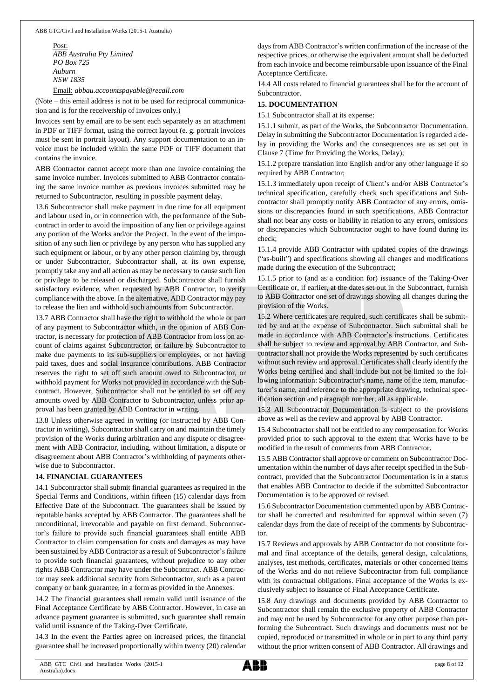Post: *ABB Australia Pty Limited PO Box 725 Auburn NSW 1835*

Email: *[abbau.accountspayable@recall.com](mailto:abbau.accountspayable@recall.com)*

(Note – this email address is not to be used for reciprocal communication and is for the receivership of invoices only.)

Invoices sent by email are to be sent each separately as an attachment in PDF or TIFF format, using the correct layout (e. g. portrait invoices must be sent in portrait layout). Any support documentation to an invoice must be included within the same PDF or TIFF document that contains the invoice.

ABB Contractor cannot accept more than one invoice containing the same invoice number. Invoices submitted to ABB Contractor containing the same invoice number as previous invoices submitted may be returned to Subcontractor, resulting in possible payment delay.

13.6 Subcontractor shall make payment in due time for all equipment and labour used in, or in connection with, the performance of the Subcontract in order to avoid the imposition of any lien or privilege against any portion of the Works and/or the Project. In the event of the imposition of any such lien or privilege by any person who has supplied any such equipment or labour, or by any other person claiming by, through or under Subcontractor, Subcontractor shall, at its own expense, promptly take any and all action as may be necessary to cause such lien or privilege to be released or discharged. Subcontractor shall furnish satisfactory evidence, when requested by ABB Contractor, to verify compliance with the above. In the alternative, ABB Contractor may pay to release the lien and withhold such amounts from Subcontractor.

13.7 ABB Contractor shall have the right to withhold the whole or part of any payment to Subcontractor which, in the opinion of ABB Contractor, is necessary for protection of ABB Contractor from loss on account of claims against Subcontractor, or failure by Subcontractor to make due payments to its sub-suppliers or employees, or not having paid taxes, dues and social insurance contributions. ABB Contractor reserves the right to set off such amount owed to Subcontractor, or withhold payment for Works not provided in accordance with the Subcontract. However, Subcontractor shall not be entitled to set off any amounts owed by ABB Contractor to Subcontractor, unless prior approval has been granted by ABB Contractor in writing.

13.8 Unless otherwise agreed in writing (or instructed by ABB Contractor in writing), Subcontractorshall carry on and maintain the timely provision of the Works during arbitration and any dispute or disagreement with ABB Contractor, including, without limitation, a dispute or disagreement about ABB Contractor's withholding of payments otherwise due to Subcontractor.

## **14. FINANCIAL GUARANTEES**

14.1 Subcontractor shall submit financial guarantees as required in the Special Terms and Conditions, within fifteen (15) calendar days from Effective Date of the Subcontract. The guarantees shall be issued by reputable banks accepted by ABB Contractor. The guarantees shall be unconditional, irrevocable and payable on first demand. Subcontractor's failure to provide such financial guarantees shall entitle ABB Contractor to claim compensation for costs and damages as may have been sustained by ABB Contractor as a result of Subcontractor's failure to provide such financial guarantees, without prejudice to any other rights ABB Contractor may have under the Subcontract. ABB Contractor may seek additional security from Subcontractor, such as a parent company or bank guarantee, in a form as provided in the Annexes.

14.2 The financial guarantees shall remain valid until issuance of the Final Acceptance Certificate by ABB Contractor. However, in case an advance payment guarantee is submitted, such guarantee shall remain valid until issuance of the Taking-Over Certificate.

14.3 In the event the Parties agree on increased prices, the financial guarantee shall be increased proportionally within twenty (20) calendar days from ABB Contractor's written confirmation of the increase of the respective prices, or otherwise the equivalent amount shall be deducted from each invoice and become reimbursable upon issuance of the Final Acceptance Certificate.

14.4 All costs related to financial guarantees shall be for the account of Subcontractor.

# **15. DOCUMENTATION**

15.1 Subcontractor shall at its expense:

15.1.1 submit, as part of the Works, the Subcontractor Documentation. Delay in submitting the Subcontractor Documentation is regarded a delay in providing the Works and the consequences are as set out in Clause 7 (Time for Providing the Works, Delay);

15.1.2 prepare translation into English and/or any other language if so required by ABB Contractor;

15.1.3 immediately upon receipt of Client's and/or ABB Contractor's technical specification, carefully check such specifications and Subcontractor shall promptly notify ABB Contractor of any errors, omissions or discrepancies found in such specifications. ABB Contractor shall not bear any costs or liability in relation to any errors, omissions or discrepancies which Subcontractor ought to have found during its check;

15.1.4 provide ABB Contractor with updated copies of the drawings ("as-built") and specifications showing all changes and modifications made during the execution of the Subcontract;

15.1.5 prior to (and as a condition for) issuance of the Taking-Over Certificate or, if earlier, at the dates set out in the Subcontract, furnish to ABB Contractor one set of drawings showing all changes during the provision of the Works.

15.2 Where certificates are required, such certificates shall be submitted by and at the expense of Subcontractor. Such submittal shall be made in accordance with ABB Contractor's instructions. Certificates shall be subject to review and approval by ABB Contractor, and Subcontractor shall not provide the Works represented by such certificates without such review and approval. Certificates shall clearly identify the Works being certified and shall include but not be limited to the following information: Subcontractor's name, name of the item, manufacturer's name, and reference to the appropriate drawing, technical specification section and paragraph number, all as applicable.

15.3 All Subcontractor Documentation is subject to the provisions above as well as the review and approval by ABB Contractor.

15.4 Subcontractor shall not be entitled to any compensation for Works provided prior to such approval to the extent that Works have to be modified in the result of comments from ABB Contractor.

15.5 ABB Contractor shall approve or comment on Subcontractor Documentation within the number of days after receipt specified in the Subcontract, provided that the Subcontractor Documentation is in a status that enables ABB Contractor to decide if the submitted Subcontractor Documentation is to be approved or revised.

15.6 Subcontractor Documentation commented upon by ABB Contractor shall be corrected and resubmitted for approval within seven (7) calendar days from the date of receipt of the comments by Subcontractor.

15.7 Reviews and approvals by ABB Contractor do not constitute formal and final acceptance of the details, general design, calculations, analyses, test methods, certificates, materials or other concerned items of the Works and do not relieve Subcontractor from full compliance with its contractual obligations. Final acceptance of the Works is exclusively subject to issuance of Final Acceptance Certificate.

15.8 Any drawings and documents provided by ABB Contractor to Subcontractor shall remain the exclusive property of ABB Contractor and may not be used by Subcontractor for any other purpose than performing the Subcontract. Such drawings and documents must not be copied, reproduced or transmitted in whole or in part to any third party without the prior written consent of ABB Contractor. All drawings and

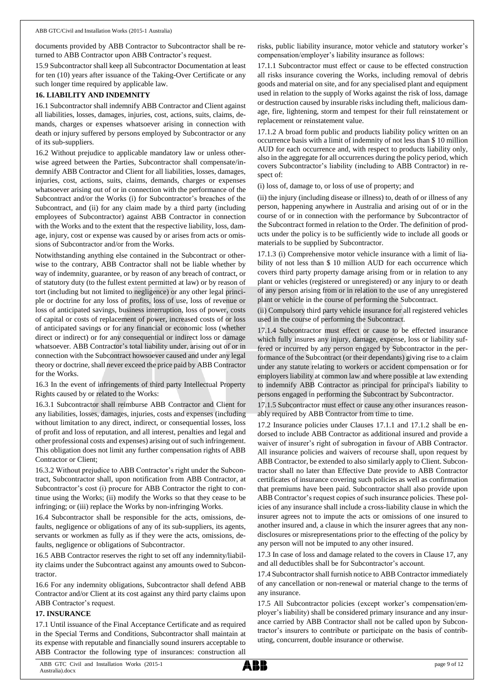documents provided by ABB Contractor to Subcontractor shall be returned to ABB Contractor upon ABB Contractor's request.

15.9 Subcontractor shall keep all Subcontractor Documentation at least for ten (10) years after issuance of the Taking-Over Certificate or any such longer time required by applicable law.

### **16. LIABILITY AND INDEMNITY**

16.1 Subcontractor shall indemnify ABB Contractor and Client against all liabilities, losses, damages, injuries, cost, actions, suits, claims, demands, charges or expenses whatsoever arising in connection with death or injury suffered by persons employed by Subcontractor or any of its sub-suppliers.

16.2 Without prejudice to applicable mandatory law or unless otherwise agreed between the Parties, Subcontractor shall compensate/indemnify ABB Contractor and Client for all liabilities, losses, damages, injuries, cost, actions, suits, claims, demands, charges or expenses whatsoever arising out of or in connection with the performance of the Subcontract and/or the Works (i) for Subcontractor's breaches of the Subcontract, and (ii) for any claim made by a third party (including employees of Subcontractor) against ABB Contractor in connection with the Works and to the extent that the respective liability, loss, damage, injury, cost or expense was caused by or arises from acts or omissions of Subcontractor and/or from the Works.

Notwithstanding anything else contained in the Subcontract or otherwise to the contrary, ABB Contractor shall not be liable whether by way of indemnity, guarantee, or by reason of any breach of contract, or of statutory duty (to the fullest extent permitted at law) or by reason of tort (including but not limited to negligence) or any other legal principle or doctrine for any loss of profits, loss of use, loss of revenue or loss of anticipated savings, business interruption, loss of power, costs of capital or costs of replacement of power, increased costs of or loss of anticipated savings or for any financial or economic loss (whether direct or indirect) or for any consequential or indirect loss or damage whatsoever. ABB Contractor's total liability under, arising out of or in connection with the Subcontract howsoever caused and under any legal theory or doctrine, shall never exceed the price paid by ABB Contractor for the Works.

16.3 In the event of infringements of third party Intellectual Property Rights caused by or related to the Works:

16.3.1 Subcontractor shall reimburse ABB Contractor and Client for any liabilities, losses, damages, injuries, costs and expenses (including without limitation to any direct, indirect, or consequential losses, loss of profit and loss of reputation, and all interest, penalties and legal and other professional costs and expenses) arising out of such infringement. This obligation does not limit any further compensation rights of ABB Contractor or Client;

16.3.2 Without prejudice to ABB Contractor's right under the Subcontract, Subcontractor shall, upon notification from ABB Contractor, at Subcontractor's cost (i) procure for ABB Contractor the right to continue using the Works; (ii) modify the Works so that they cease to be infringing; or (iii) replace the Works by non-infringing Works.

16.4 Subcontractor shall be responsible for the acts, omissions, defaults, negligence or obligations of any of its sub-suppliers, its agents, servants or workmen as fully as if they were the acts, omissions, defaults, negligence or obligations of Subcontractor.

16.5 ABB Contractor reserves the right to set off any indemnity/liability claims under the Subcontract against any amounts owed to Subcontractor.

16.6 For any indemnity obligations, Subcontractor shall defend ABB Contractor and/or Client at its cost against any third party claims upon ABB Contractor's request.

### **17. INSURANCE**

17.1 Until issuance of the Final Acceptance Certificate and as required in the Special Terms and Conditions, Subcontractor shall maintain at its expense with reputable and financially sound insurers acceptable to ABB Contractor the following type of insurances: construction all

risks, public liability insurance, motor vehicle and statutory worker's compensation/employer's liability insurance as follows:

17.1.1 Subcontractor must effect or cause to be effected construction all risks insurance covering the Works, including removal of debris goods and material on site, and for any specialised plant and equipment used in relation to the supply of Works against the risk of loss, damage or destruction caused by insurable risks including theft, malicious damage, fire, lightening, storm and tempest for their full reinstatement or replacement or reinstatement value.

17.1.2 A broad form public and products liability policy written on an occurrence basis with a limit of indemnity of not less than \$ 10 million AUD for each occurrence and, with respect to products liability only, also in the aggregate for all occurrences during the policy period, which covers Subcontractor's liability (including to ABB Contractor) in respect of:

(i) loss of, damage to, or loss of use of property; and

(ii) the injury (including disease or illness) to, death of or illness of any person, happening anywhere in Australia and arising out of or in the course of or in connection with the performance by Subcontractor of the Subcontract formed in relation to the Order. The definition of products under the policy is to be sufficiently wide to include all goods or materials to be supplied by Subcontractor.

17.1.3 (i) Comprehensive motor vehicle insurance with a limit of liability of not less than \$ 10 million AUD for each occurrence which covers third party property damage arising from or in relation to any plant or vehicles (registered or unregistered) or any injury to or death of any person arising from or in relation to the use of any unregistered plant or vehicle in the course of performing the Subcontract.

(ii) Compulsory third party vehicle insurance for all registered vehicles used in the course of performing the Subcontract.

17.1.4 Subcontractor must effect or cause to be effected insurance which fully insures any injury, damage, expense, loss or liability suffered or incurred by any person engaged by Subcontractor in the performance of the Subcontract (or their dependants) giving rise to a claim under any statute relating to workers or accident compensation or for employers liability at common law and where possible at law extending to indemnify ABB Contractor as principal for principal's liability to persons engaged in performing the Subcontract by Subcontractor.

17.1.5 Subcontractor must effect or cause any other insurances reasonably required by ABB Contractor from time to time.

17.2 Insurance policies under Clauses 17.1.1 and 17.1.2 shall be endorsed to include ABB Contractor as additional insured and provide a waiver of insurer's right of subrogation in favour of ABB Contractor. All insurance policies and waivers of recourse shall, upon request by ABB Contractor, be extended to also similarly apply to Client. Subcontractor shall no later than Effective Date provide to ABB Contractor certificates of insurance covering such policies as well as confirmation that premiums have been paid. Subcontractor shall also provide upon ABB Contractor's request copies of such insurance policies. These policies of any insurance shall include a cross-liability clause in which the insurer agrees not to impute the acts or omissions of one insured to another insured and, a clause in which the insurer agrees that any nondisclosures or misrepresentations prior to the effecting of the policy by any person will not be imputed to any other insured.

17.3 In case of loss and damage related to the covers in Clause 17, any and all deductibles shall be for Subcontractor's account.

17.4 Subcontractor shall furnish notice to ABB Contractor immediately of any cancellation or non-renewal or material change to the terms of any insurance.

17.5 All Subcontractor policies (except worker's compensation/employer's liability) shall be considered primary insurance and any insurance carried by ABB Contractor shall not be called upon by Subcontractor's insurers to contribute or participate on the basis of contributing, concurrent, double insurance or otherwise.

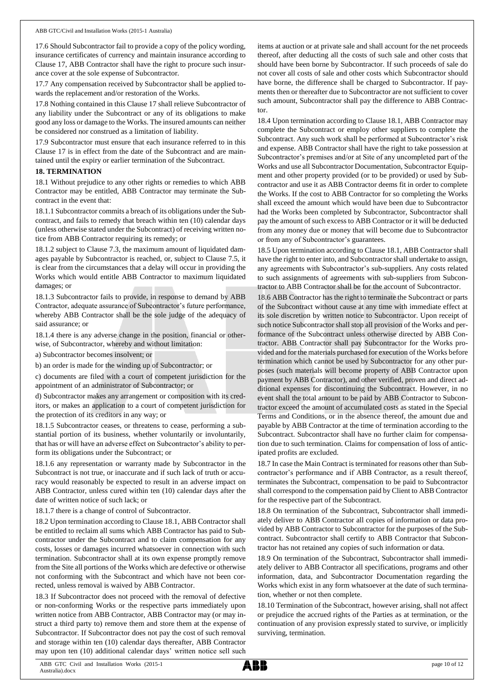17.6 Should Subcontractor fail to provide a copy of the policy wording, insurance certificates of currency and maintain insurance according to Clause 17, ABB Contractor shall have the right to procure such insurance cover at the sole expense of Subcontractor.

17.7 Any compensation received by Subcontractor shall be applied towards the replacement and/or restoration of the Works.

17.8 Nothing contained in this Clause 17 shall relieve Subcontractor of any liability under the Subcontract or any of its obligations to make good any loss or damage to the Works. The insured amounts can neither be considered nor construed as a limitation of liability.

17.9 Subcontractor must ensure that each insurance referred to in this Clause 17 is in effect from the date of the Subcontract and are maintained until the expiry or earlier termination of the Subcontract.

#### **18. TERMINATION**

18.1 Without prejudice to any other rights or remedies to which ABB Contractor may be entitled, ABB Contractor may terminate the Subcontract in the event that:

18.1.1 Subcontractor commits a breach of its obligations under the Subcontract, and fails to remedy that breach within ten (10) calendar days (unless otherwise stated under the Subcontract) of receiving written notice from ABB Contractor requiring its remedy; or

18.1.2 subject to Clause 7.3, the maximum amount of liquidated damages payable by Subcontractor is reached, or, subject to Clause 7.5, it is clear from the circumstances that a delay will occur in providing the Works which would entitle ABB Contractor to maximum liquidated damages; or

18.1.3 Subcontractor fails to provide, in response to demand by ABB Contractor, adequate assurance of Subcontractor's future performance, whereby ABB Contractor shall be the sole judge of the adequacy of said assurance; or

18.1.4 there is any adverse change in the position, financial or otherwise, of Subcontractor, whereby and without limitation:

a) Subcontractor becomes insolvent; or

b) an order is made for the winding up of Subcontractor; or

c) documents are filed with a court of competent jurisdiction for the appointment of an administrator of Subcontractor; or

d) Subcontractor makes any arrangement or composition with its creditors, or makes an application to a court of competent jurisdiction for the protection of its creditors in any way; or

18.1.5 Subcontractor ceases, or threatens to cease, performing a substantial portion of its business, whether voluntarily or involuntarily, that has or will have an adverse effect on Subcontractor's ability to perform its obligations under the Subcontract; or

18.1.6 any representation or warranty made by Subcontractor in the Subcontract is not true, or inaccurate and if such lack of truth or accuracy would reasonably be expected to result in an adverse impact on ABB Contractor, unless cured within ten (10) calendar days after the date of written notice of such lack; or

18.1.7 there is a change of control of Subcontractor.

18.2 Upon termination according to Clause 18.1, ABB Contractor shall be entitled to reclaim all sums which ABB Contractor has paid to Subcontractor under the Subcontract and to claim compensation for any costs, losses or damages incurred whatsoever in connection with such termination. Subcontractor shall at its own expense promptly remove from the Site all portions of the Works which are defective or otherwise not conforming with the Subcontract and which have not been corrected, unless removal is waived by ABB Contractor.

18.3 If Subcontractor does not proceed with the removal of defective or non-conforming Works or the respective parts immediately upon written notice from ABB Contractor, ABB Contractor may (or may instruct a third party to) remove them and store them at the expense of Subcontractor. If Subcontractor does not pay the cost of such removal and storage within ten (10) calendar days thereafter, ABB Contractor may upon ten (10) additional calendar days' written notice sell such

items at auction or at private sale and shall account for the net proceeds thereof, after deducting all the costs of such sale and other costs that should have been borne by Subcontractor. If such proceeds of sale do not cover all costs of sale and other costs which Subcontractor should have borne, the difference shall be charged to Subcontractor. If payments then or thereafter due to Subcontractor are not sufficient to cover such amount, Subcontractor shall pay the difference to ABB Contractor.

18.4 Upon termination according to Clause 18.1, ABB Contractor may complete the Subcontract or employ other suppliers to complete the Subcontract. Any such work shall be performed at Subcontractor's risk and expense. ABB Contractor shall have the right to take possession at Subcontractor's premises and/or at Site of any uncompleted part of the Works and use all Subcontractor Documentation, Subcontractor Equipment and other property provided (or to be provided) or used by Subcontractor and use it as ABB Contractor deems fit in order to complete the Works. If the cost to ABB Contractor for so completing the Works shall exceed the amount which would have been due to Subcontractor had the Works been completed by Subcontractor, Subcontractor shall pay the amount of such excess to ABB Contractor or it will be deducted from any money due or money that will become due to Subcontractor or from any of Subcontractor's guarantees.

18.5 Upon termination according to Clause 18.1, ABB Contractor shall have the right to enter into, and Subcontractor shall undertake to assign, any agreements with Subcontractor's sub-suppliers. Any costs related to such assignments of agreements with sub-suppliers from Subcontractor to ABB Contractor shall be for the account of Subcontractor.

18.6 ABB Contractor has the right to terminate the Subcontract or parts of the Subcontract without cause at any time with immediate effect at its sole discretion by written notice to Subcontractor. Upon receipt of such notice Subcontractor shall stop all provision of the Works and performance of the Subcontract unless otherwise directed by ABB Contractor. ABB Contractor shall pay Subcontractor for the Works provided and for the materials purchased for execution of the Works before termination which cannot be used by Subcontractor for any other purposes (such materials will become property of ABB Contractor upon payment by ABB Contractor), and other verified, proven and direct additional expenses for discontinuing the Subcontract. However, in no event shall the total amount to be paid by ABB Contractor to Subcontractor exceed the amount of accumulated costs as stated in the Special Terms and Conditions, or in the absence thereof, the amount due and payable by ABB Contractor at the time of termination according to the Subcontract. Subcontractor shall have no further claim for compensation due to such termination. Claims for compensation of loss of anticipated profits are excluded.

18.7 In case the Main Contract is terminated for reasons other than Subcontractor's performance and if ABB Contractor, as a result thereof, terminates the Subcontract, compensation to be paid to Subcontractor shall correspond to the compensation paid by Client to ABB Contractor for the respective part of the Subcontract.

18.8 On termination of the Subcontract, Subcontractor shall immediately deliver to ABB Contractor all copies of information or data provided by ABB Contractor to Subcontractor for the purposes of the Subcontract. Subcontractor shall certify to ABB Contractor that Subcontractor has not retained any copies of such information or data.

18.9 On termination of the Subcontract, Subcontractor shall immediately deliver to ABB Contractor all specifications, programs and other information, data, and Subcontractor Documentation regarding the Works which exist in any form whatsoever at the date of such termination, whether or not then complete.

18.10 Termination of the Subcontract, however arising, shall not affect or prejudice the accrued rights of the Parties as at termination, or the continuation of any provision expressly stated to survive, or implicitly surviving, termination.

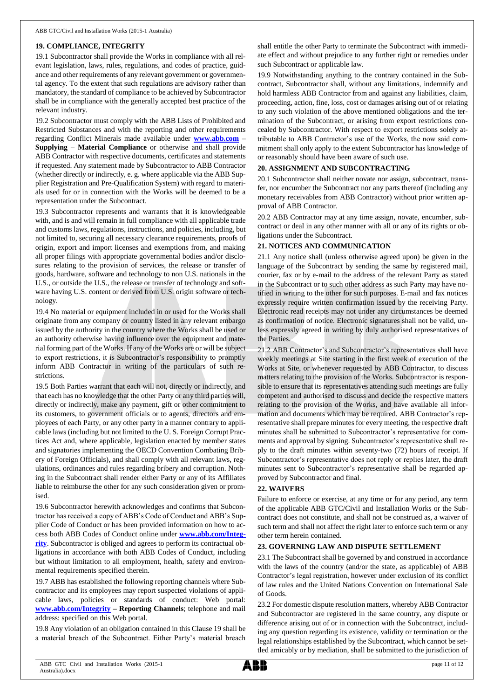### **19. COMPLIANCE, INTEGRITY**

19.1 Subcontractor shall provide the Works in compliance with all relevant legislation, laws, rules, regulations, and codes of practice, guidance and other requirements of any relevant government or governmental agency. To the extent that such regulations are advisory rather than mandatory, the standard of compliance to be achieved by Subcontractor shall be in compliance with the generally accepted best practice of the relevant industry.

19.2 Subcontractor must comply with the ABB Lists of Prohibited and Restricted Substances and with the reporting and other requirements regarding Conflict Minerals made available under **[www.abb.com](http://www.abb.com/) – Supplying – Material Compliance** or otherwise and shall provide ABB Contractor with respective documents, certificates and statements if requested. Any statement made by Subcontractor to ABB Contractor (whether directly or indirectly, e. g. where applicable via the ABB Supplier Registration and Pre-Qualification System) with regard to materials used for or in connection with the Works will be deemed to be a representation under the Subcontract.

19.3 Subcontractor represents and warrants that it is knowledgeable with, and is and will remain in full compliance with all applicable trade and customs laws, regulations, instructions, and policies, including, but not limited to, securing all necessary clearance requirements, proofs of origin, export and import licenses and exemptions from, and making all proper filings with appropriate governmental bodies and/or disclosures relating to the provision of services, the release or transfer of goods, hardware, software and technology to non U.S. nationals in the U.S., or outside the U.S., the release or transfer of technology and software having U.S. content or derived from U.S. origin software or technology.

19.4 No material or equipment included in or used for the Works shall originate from any company or country listed in any relevant embargo issued by the authority in the country where the Works shall be used or an authority otherwise having influence over the equipment and material forming part of the Works. If any of the Works are or will be subject to export restrictions, it is Subcontractor's responsibility to promptly inform ABB Contractor in writing of the particulars of such restrictions.

19.5 Both Parties warrant that each will not, directly or indirectly, and that each has no knowledge that the other Party or any third parties will, directly or indirectly, make any payment, gift or other commitment to its customers, to government officials or to agents, directors and employees of each Party, or any other party in a manner contrary to applicable laws (including but not limited to the U. S. Foreign Corrupt Practices Act and, where applicable, legislation enacted by member states and signatories implementing the OECD Convention Combating Bribery of Foreign Officials), and shall comply with all relevant laws, regulations, ordinances and rules regarding bribery and corruption. Nothing in the Subcontract shall render either Party or any of its Affiliates liable to reimburse the other for any such consideration given or promised.

19.6 Subcontractor herewith acknowledges and confirms that Subcontractor has received a copy of ABB's Code of Conduct and ABB's Supplier Code of Conduct or has been provided information on how to access both ABB Codes of Conduct online under **[www.abb.com/Integ](http://www.abb.com/Integrity)[rity](http://www.abb.com/Integrity)**. Subcontractor is obliged and agrees to perform its contractual obligations in accordance with both ABB Codes of Conduct, including but without limitation to all employment, health, safety and environmental requirements specified therein.

19.7 ABB has established the following reporting channels where Subcontractor and its employees may report suspected violations of applicable laws, policies or standards of conduct: Web portal: **[www.abb.com/Integrity](http://www.abb.com/Integrity) – Reporting Channels**; telephone and mail address: specified on this Web portal.

19.8 Any violation of an obligation contained in this Clause 19 shall be a material breach of the Subcontract. Either Party's material breach shall entitle the other Party to terminate the Subcontract with immediate effect and without prejudice to any further right or remedies under such Subcontract or applicable law.

19.9 Notwithstanding anything to the contrary contained in the Subcontract, Subcontractor shall, without any limitations, indemnify and hold harmless ABB Contractor from and against any liabilities, claim, proceeding, action, fine, loss, cost or damages arising out of or relating to any such violation of the above mentioned obligations and the termination of the Subcontract, or arising from export restrictions concealed by Subcontractor. With respect to export restrictions solely attributable to ABB Contractor's use of the Works, the now said commitment shall only apply to the extent Subcontractor has knowledge of or reasonably should have been aware of such use.

### **20. ASSIGNMENT AND SUBCONTRACTING**

20.1 Subcontractor shall neither novate nor assign, subcontract, transfer, nor encumber the Subcontract nor any parts thereof (including any monetary receivables from ABB Contractor) without prior written approval of ABB Contractor.

20.2 ABB Contractor may at any time assign, novate, encumber, subcontract or deal in any other manner with all or any of its rights or obligations under the Subcontract.

### **21. NOTICES AND COMMUNICATION**

21.1 Any notice shall (unless otherwise agreed upon) be given in the language of the Subcontract by sending the same by registered mail, courier, fax or by e-mail to the address of the relevant Party as stated in the Subcontract or to such other address as such Party may have notified in writing to the other for such purposes. E-mail and fax notices expressly require written confirmation issued by the receiving Party. Electronic read receipts may not under any circumstances be deemed as confirmation of notice. Electronic signatures shall not be valid, unless expressly agreed in writing by duly authorised representatives of the Parties.

21.2 ABB Contractor's and Subcontractor's representatives shall have weekly meetings at Site starting in the first week of execution of the Works at Site, or whenever requested by ABB Contractor, to discuss matters relating to the provision of the Works. Subcontractor is responsible to ensure that its representatives attending such meetings are fully competent and authorised to discuss and decide the respective matters relating to the provision of the Works, and have available all information and documents which may be required. ABB Contractor's representative shall prepare minutes for every meeting, the respective draft minutes shall be submitted to Subcontractor's representative for comments and approval by signing. Subcontractor's representative shall reply to the draft minutes within seventy-two (72) hours of receipt. If Subcontractor's representative does not reply or replies later, the draft minutes sent to Subcontractor's representative shall be regarded approved by Subcontractor and final.

#### **22. WAIVERS**

Failure to enforce or exercise, at any time or for any period, any term of the applicable ABB GTC/Civil and Installation Works or the Subcontract does not constitute, and shall not be construed as, a waiver of such term and shall not affect the right later to enforce such term or any other term herein contained.

#### **23. GOVERNING LAW AND DISPUTE SETTLEMENT**

23.1 The Subcontract shall be governed by and construed in accordance with the laws of the country (and/or the state, as applicable) of ABB Contractor's legal registration, however under exclusion of its conflict of law rules and the United Nations Convention on International Sale of Goods.

23.2 For domestic dispute resolution matters, whereby ABB Contractor and Subcontractor are registered in the same country, any dispute or difference arising out of or in connection with the Subcontract, including any question regarding its existence, validity or termination or the legal relationships established by the Subcontract, which cannot be settled amicably or by mediation, shall be submitted to the jurisdiction of